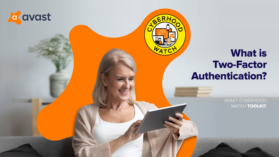AVAST CYBERHOOD WATCH TOOLKIT





## What is Two-Factor Authentication?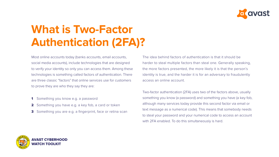Most online accounts today (banks accounts, email accounts, social media accounts), include technologies that are designed to verify your identity so only you can access them. Among these technologies is something called factors of authentication. There are three classic "factors" that online services use for customers to prove they are who they say they are:

- 1 Something you know e.g. a password
- 
- 

2 Something you have e.g. a key fob, a card or token 3 Something you are e.g. a fingerprint, face or retina scan



## **What is Two-Factor Authentication (2FA)?**

The idea behind factors of authentication is that it should be harder to steal multiple factors than steal one. Generally speaking, the more factors presented, the more likely it is that the person's identity is true, and the harder it is for an adversary to fraudulently access an online account.

Two-factor authentication (2FA) uses two of the factors above, usually something you know (a password) and something you have (a key fob, although many services today provide this second factor via email or text message as a numerical code). This means that somebody needs to steal your password and your numerical code to access an account with 2FA enabled. To do this simultaneously is hard.